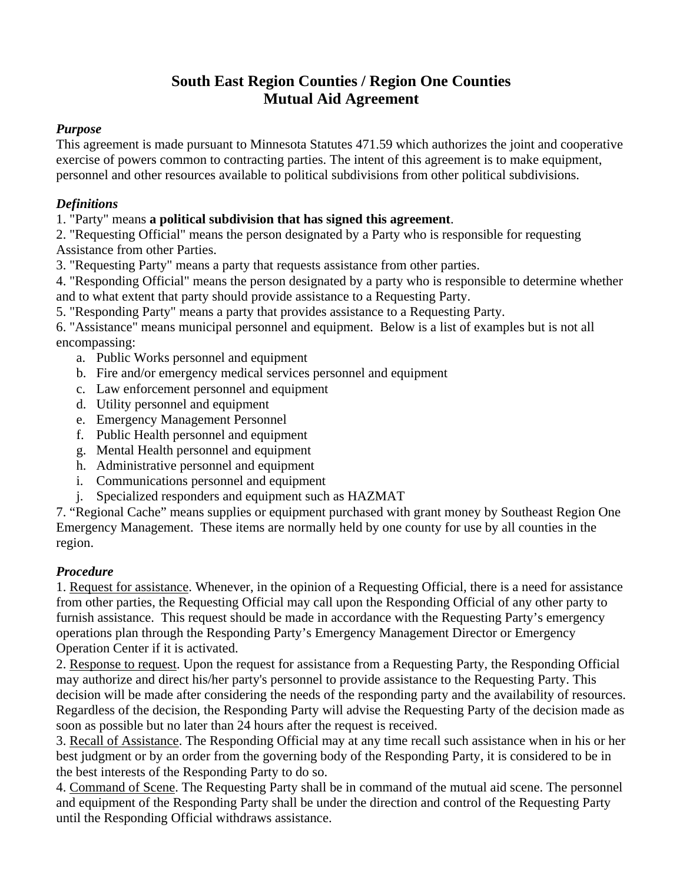# **South East Region Counties / Region One Counties Mutual Aid Agreement**

## *Purpose*

This agreement is made pursuant to Minnesota Statutes 471.59 which authorizes the joint and cooperative exercise of powers common to contracting parties. The intent of this agreement is to make equipment, personnel and other resources available to political subdivisions from other political subdivisions.

## *Definitions*

1. "Party" means **a political subdivision that has signed this agreement**.

2. "Requesting Official" means the person designated by a Party who is responsible for requesting Assistance from other Parties.

3. "Requesting Party" means a party that requests assistance from other parties.

4. "Responding Official" means the person designated by a party who is responsible to determine whether and to what extent that party should provide assistance to a Requesting Party.

5. "Responding Party" means a party that provides assistance to a Requesting Party.

6. "Assistance" means municipal personnel and equipment. Below is a list of examples but is not all encompassing:

- a. Public Works personnel and equipment
- b. Fire and/or emergency medical services personnel and equipment
- c. Law enforcement personnel and equipment
- d. Utility personnel and equipment
- e. Emergency Management Personnel
- f. Public Health personnel and equipment
- g. Mental Health personnel and equipment
- h. Administrative personnel and equipment
- i. Communications personnel and equipment
- j. Specialized responders and equipment such as HAZMAT

7. "Regional Cache" means supplies or equipment purchased with grant money by Southeast Region One Emergency Management. These items are normally held by one county for use by all counties in the region.

## *Procedure*

1. Request for assistance. Whenever, in the opinion of a Requesting Official, there is a need for assistance from other parties, the Requesting Official may call upon the Responding Official of any other party to furnish assistance. This request should be made in accordance with the Requesting Party's emergency operations plan through the Responding Party's Emergency Management Director or Emergency Operation Center if it is activated.

2. Response to request. Upon the request for assistance from a Requesting Party, the Responding Official may authorize and direct his/her party's personnel to provide assistance to the Requesting Party. This decision will be made after considering the needs of the responding party and the availability of resources. Regardless of the decision, the Responding Party will advise the Requesting Party of the decision made as soon as possible but no later than 24 hours after the request is received.

3. Recall of Assistance. The Responding Official may at any time recall such assistance when in his or her best judgment or by an order from the governing body of the Responding Party, it is considered to be in the best interests of the Responding Party to do so.

4. Command of Scene. The Requesting Party shall be in command of the mutual aid scene. The personnel and equipment of the Responding Party shall be under the direction and control of the Requesting Party until the Responding Official withdraws assistance.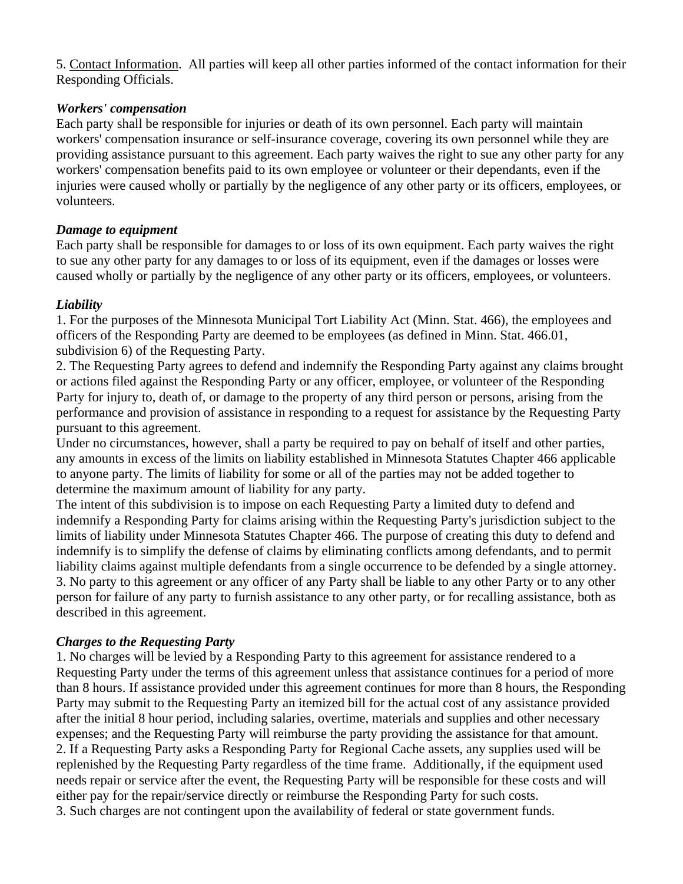5. Contact Information. All parties will keep all other parties informed of the contact information for their Responding Officials.

#### *Workers' compensation*

Each party shall be responsible for injuries or death of its own personnel. Each party will maintain workers' compensation insurance or self-insurance coverage, covering its own personnel while they are providing assistance pursuant to this agreement. Each party waives the right to sue any other party for any workers' compensation benefits paid to its own employee or volunteer or their dependants, even if the injuries were caused wholly or partially by the negligence of any other party or its officers, employees, or volunteers.

#### *Damage to equipment*

Each party shall be responsible for damages to or loss of its own equipment. Each party waives the right to sue any other party for any damages to or loss of its equipment, even if the damages or losses were caused wholly or partially by the negligence of any other party or its officers, employees, or volunteers.

## *Liability*

1. For the purposes of the Minnesota Municipal Tort Liability Act (Minn. Stat. 466), the employees and officers of the Responding Party are deemed to be employees (as defined in Minn. Stat. 466.01, subdivision 6) of the Requesting Party.

2. The Requesting Party agrees to defend and indemnify the Responding Party against any claims brought or actions filed against the Responding Party or any officer, employee, or volunteer of the Responding Party for injury to, death of, or damage to the property of any third person or persons, arising from the performance and provision of assistance in responding to a request for assistance by the Requesting Party pursuant to this agreement.

Under no circumstances, however, shall a party be required to pay on behalf of itself and other parties, any amounts in excess of the limits on liability established in Minnesota Statutes Chapter 466 applicable to anyone party. The limits of liability for some or all of the parties may not be added together to determine the maximum amount of liability for any party.

The intent of this subdivision is to impose on each Requesting Party a limited duty to defend and indemnify a Responding Party for claims arising within the Requesting Party's jurisdiction subject to the limits of liability under Minnesota Statutes Chapter 466. The purpose of creating this duty to defend and indemnify is to simplify the defense of claims by eliminating conflicts among defendants, and to permit liability claims against multiple defendants from a single occurrence to be defended by a single attorney. 3. No party to this agreement or any officer of any Party shall be liable to any other Party or to any other person for failure of any party to furnish assistance to any other party, or for recalling assistance, both as described in this agreement.

## *Charges to the Requesting Party*

1. No charges will be levied by a Responding Party to this agreement for assistance rendered to a Requesting Party under the terms of this agreement unless that assistance continues for a period of more than 8 hours. If assistance provided under this agreement continues for more than 8 hours, the Responding Party may submit to the Requesting Party an itemized bill for the actual cost of any assistance provided after the initial 8 hour period, including salaries, overtime, materials and supplies and other necessary expenses; and the Requesting Party will reimburse the party providing the assistance for that amount. 2. If a Requesting Party asks a Responding Party for Regional Cache assets, any supplies used will be replenished by the Requesting Party regardless of the time frame. Additionally, if the equipment used needs repair or service after the event, the Requesting Party will be responsible for these costs and will either pay for the repair/service directly or reimburse the Responding Party for such costs. 3. Such charges are not contingent upon the availability of federal or state government funds.